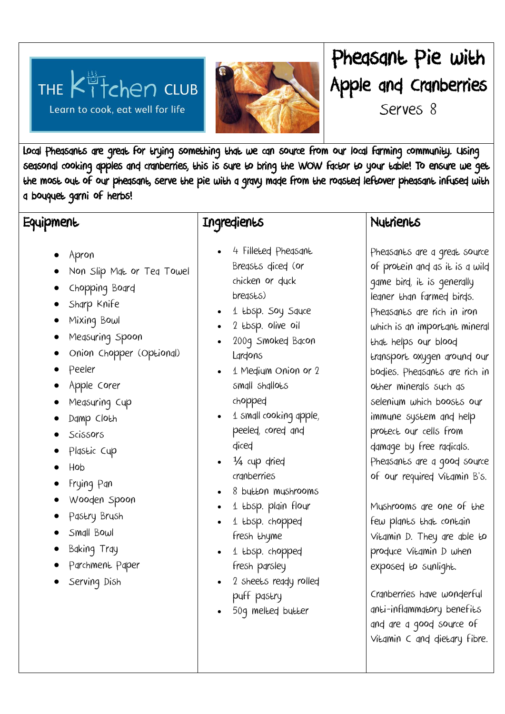## THE  $k_1^{\frac{13}{17}}$  refers club Learn to cook, eat well for life



# Pheasant Pie with Apple and Cranberries

Serves 8

Local Pheasants are great for trying something that we can source from our local farming community. Using seasonal cooking apples and cranberries, this is sure to bring the WOW factor to your table! To ensure we get the most out of our pheasant, serve the pie with a gravy made from the roasted leftover pheasant infused with a bouquet garni of herbs!

#### **Equipment**

- Apron
- Non Slip Mat or Tea Towel
- Chopping Board
- Sharp Knife
- Mixing Bowl
- Measuring Spoon
- Onion Chopper (Optional)
- Peeler
- Apple Corer
- Measuring Cup
- Damp Cloth
- Scissors
- Plastic Cup
- Hob
- Frying Pan
- Wooden Spoon
- Pastry Brush
- Small Bowl
- Baking Tray
- Parchment Paper
- **•** Serving Dish

### Ingredients

- 4 Filleted Pheasant Breasts diced (or chicken or duck breasts)
- 1 tbsp. Soy Squce
- . 2 tbsp. olive oil
- 2009 Smoked Bacon Lardons
- 1 Medium Onion or 2 small shallots chopped
- 1 small cooking apple, peeled, cored and diced
- $\cdot$   $\frac{1}{4}$  cup dried cranberries
- 8 button mushrooms
- 1 tbsp. plain flour
- 1 tbsp. chopped fresh thyme
- 1 tbsp. chopped fresh parsley
- 2 sheets ready rolled puff pastry
- 50g melted butter

#### **Nutrients**

Pheasants are a great source of protein and as it is a wild game bird, it is generally leaner than farmed birds. Pheasants are rich in iron which is an important mineral that helps our blood transport oxygen around our bodies. Pheasants are rich in other minerals such as selenium which boosts our immune system and help protect our cells from damage by free radicals. Pheasants are a good source of our required Vitamin B's.

Mushrooms are one of the few plants that contain Vitamin D. They are able to produce Vitamin D when exposed to sunlight.

Cranberries have wonderful anti-inflammatory benefits and are a good source of Vitamin C and dietary fibre.